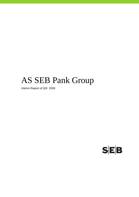# AS SEB Pank Group

Interim Report of QIII 2009

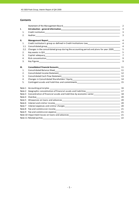# **Contents**

|      |                                                                                                                                                                                                                                | 2              |
|------|--------------------------------------------------------------------------------------------------------------------------------------------------------------------------------------------------------------------------------|----------------|
| I.   |                                                                                                                                                                                                                                | 3              |
| 1.   |                                                                                                                                                                                                                                | 3              |
| 2.   |                                                                                                                                                                                                                                | 3              |
| II.  |                                                                                                                                                                                                                                | 4              |
| 1.   | Credit institution's group as defined in Credit Institutions Law___________________________________                                                                                                                            | $\overline{4}$ |
| 1.1. |                                                                                                                                                                                                                                | 4              |
| 2.2. | Changes in the consolidated group during the accounting period and plans for year 2009                                                                                                                                         | 5              |
| 2.   |                                                                                                                                                                                                                                | 5              |
| 3.   |                                                                                                                                                                                                                                | $\overline{7}$ |
| 4.   |                                                                                                                                                                                                                                | 9              |
| 3.   |                                                                                                                                                                                                                                | 9              |
| III. |                                                                                                                                                                                                                                |                |
| 1.   |                                                                                                                                                                                                                                | 11             |
| 2.   |                                                                                                                                                                                                                                | 12             |
| 3.   |                                                                                                                                                                                                                                |                |
| 4.   |                                                                                                                                                                                                                                | 14             |
| 5.   | Contingent assets and liabilities and commitments ______________________________                                                                                                                                               | 15             |
|      | Note 1 Accounting principles<br><u> 1989 - Johann Barnett, fransk politiker (d. 1989)</u>                                                                                                                                      | 16             |
|      | Note 2 Geographic concentration of financial assets and liabilities<br>17                                                                                                                                                      |                |
|      | Note 3 Concentration of financial assets and liabilities by economic sector_______________________________ 18                                                                                                                  |                |
|      | Note 4 Overdue                                                                                                                                                                                                                 |                |
|      |                                                                                                                                                                                                                                |                |
|      | Note 6 Interest and similar incomertic and the control of the control of the control of the control of the control of the control of the control of the control of the control of the control of the control of the control of |                |
|      |                                                                                                                                                                                                                                | 20             |
|      |                                                                                                                                                                                                                                |                |
|      |                                                                                                                                                                                                                                |                |
|      | Note 10 Impairment losses on loans and advances [19] [2010] [2010] [2010] [2010] [2010] [2010] [2010] [2010] [                                                                                                                 | 21             |
|      |                                                                                                                                                                                                                                |                |
|      |                                                                                                                                                                                                                                |                |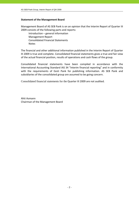### **Statement of the Management Board**

Management Board of AS SEB Pank is on an opinion that the Interim Report of Quarter III 2009 consists of the following parts and reports:

 Introduction – general information Management Report Consolidated Financial Statements **Notes** 

The financial and other additional information published in the Interim Report of Quarter III 2009 is true and complete. Consolidated financial statements gives a true and fair view of the actual financial position, results of operations and cash flows of the group.

Consolidated financial statements have been compiled in accordance with the International Accounting Standard IAS 34 "Interim financial reporting" and in conformity with the requirements of Eesti Pank for publishing information. AS SEB Pank and subsidiaries of the consolidated group are assumed to be going concern.

Consolidated financial statements for the Quarter III 2009 are not audited.

Ahti Asmann Chairman of the Management Board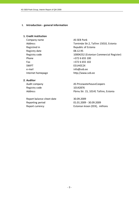### **I. Introduction ‐ general information**

### **1. Credit institution**

Company name AS SEB Pank Registred in Republic of Estonia Registry date 08.12.95 Phone  $+3726655100$ Fax  $+3726655102$ SWIFT FEUHFF2X e-mail info@seb.ee Internet homepage http://www.seb.ee

Address Tornimäe Str.2, Tallinn 15010, Estonia Registry code 10004252 (Estonian Commercial Register)

### **2. Auditor**

Registry code 10142876

Report balance sheet date 30.09.2009 Reporting period 01.01.2009 ‐ 30.09.2009

Audit company and all the AS PricewaterhouseCoopers Address **Pärnu Str. 15, 10141 Tallinn, Estonia** 

Report currency extended the Estonian kroon (EEK), millions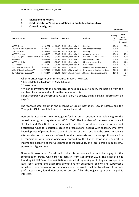### **II. Management Report**

### **1. Credit institution's group as defined in Credit Institutions Law**

### **1.1. Consolidated group**

|                                   |          |          |                       |                                                     |                                | 30.09.09                                    |
|-----------------------------------|----------|----------|-----------------------|-----------------------------------------------------|--------------------------------|---------------------------------------------|
| Company name                      | Register | Reg.date | <b>Address</b>        | <b>Activity</b>                                     | <b>Holding</b><br>(%)<br>$***$ | At an<br>acqui-<br>sition cost<br>(EEK mio) |
| AS SEB Liising                    | 10281767 | 03.10.97 | Tallinn, Tornimäe 2   | Leasing                                             | 100.0%                         | 23.4                                        |
| AS SEB Kindlustusmaakler*         | 10723587 | 16.01.01 | Tallinn, Tornimäe 2   | Insurance brokerage                                 | 100.0%                         | $\overline{\phantom{a}}$                    |
| AS Rentacar*                      | 10303546 | 20.10.97 | Haapsalu, Karja 27    | Leasing                                             | 100.0%                         | $\overline{\phantom{a}}$                    |
| AS SEB Varahaldus                 | 10035169 | 22.05.96 | Tallinn, Tornimäe 2   | Asset management                                    | 100.0%                         | 42.5                                        |
| AS SEB Elu- ja Pensionikindlustus | 10525330 | 21.01.99 | Tallinn, Tornimäe 2   | Life and pension insurance                          | 100.0%                         | 30.0                                        |
| AS Bangalo                        | 10088272 | 18.10.96 | Tallinn, Tornimäe 2   | Rental of computers                                 | 100.0%                         | 5.0                                         |
| AS SEB Enskilda                   | 11354037 | 16.02.07 | Tallinn, Tornimäe 2   | Financial consulting                                | 100.0%                         | 11.5                                        |
| OÜ Estectus                       | 10141919 | 23.04.97 | Tallinn, Tornimäe 2   | Real estate                                         | 100.0%                         | 26.2                                        |
| SEB IT Partner Estonia OÜ**       | 10002566 | 20.11.95 | Tallinn, Liimi 1B     | IT consulting, programming                          | 35.0%                          | 0.3                                         |
| AS Sertifits eerimiskeskus**      | 10747013 | 27.03.01 | Tallinn, Pärnu mnt 12 | Data communication services                         | 25.0%                          | 15.0                                        |
| OÜ TietoEnator Support **         | 11065244 | 30.08.04 |                       | Tallinn, Roosikrantsi 11 IT consulting, programming | 20.0%                          | 0.6                                         |
|                                   |          |          |                       |                                                     |                                | 154.5                                       |

All enterprises registered in Estonian Commercial Register.

\* Consolidated subsidaries of AS SEB Liising

\*\* Associates

\*\*\* For all investments the percentage of holding equals to both, the holding from the number of shares as well as from the number of votes.

Parent company of the Group is AS SEB Pank, it's activity being banking (information on page 3).

The 'consolidated group' in the meaning of Credit Institutions Law in Estonia and the 'Group' for IFRS consolidation purposes are identical.

Non‐profit association SEB Heategevusfond is an association, not belonging to the consolidation group, registered on 06.01.2006. The founders of the association are AS SEB Pank and AS SEB Elu‐ ja Pensionikindlustus. The association is aimed at raising and distributing funds for charitable cause to organisations, dealing with children, who have been deprived of parental care. Upon dissolution of the association, the assets remaining after satisfaction of the claims of creditors shall be transferred to a non‐profit association or foundation with similar objectives, entered to the list of associations subject to income tax incentive of the Government of the Republic, or a legal person in public law, state or local government.

Non‐profit association Spordiklubi United is an association, not belonging to the consolidation group, which started activitiy from September 2008. The association is found by AS SEB Pank. The assiotiation is aimed at organising on hobby and competition level sport events and organising promotions for advertising of own and supporter´s activities. Upon dissolution of the association, the assets shall be transferred to a non‐ profit association, foundation or other persons filling the objects by articles in public interests.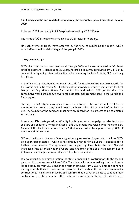# **1.2. Changes in the consolidated group during the accounting period and plans for year 2009**

In January 2009 ownership in AS Bangalo decreased by 42,0 EEK mio.

The name of OÜ Strongler was changed to OÜ Estectus in February.

No such events or trends have occurred by the time of publishing the report, which would affect the financial strategy of the group in 2009.

### **2. Key events in QIII**

SEB's client satisfaction has been solid through 2009 and even increased in Q3. Most satisfied segment is clients up to 35 years. According to survey conducted by EPSI Baltic, competition regarding client satisfaction is fierce among banks is Estonia, SEB is holding first place.

In the financial publication Euromoney's Awards for Excellence SEB won two awards for the Nordic and Baltic region. SEB Enskilda got for second consecutive year award for Best Mergers & Acquisitions House for the Nordics and Baltics. SEB got for the sixth consecutive year Euromoney's award for best cash management bank in the Nordic and Baltic region.

Starting from 28 July, new companies will be able to open start‐up accounts in SEB over the Internet – a service they would previously have had to visit a branch of the bank to use. The founder of the company must have an ID card for this process to be completed successfully.

In summer SEB Heategevusfond (Charity Fund) launched a campaign to raise funds for shelters and children's homes in Estonia. 395,000 kroons was raised with the campaign. Clients of the bank have also set up 6,230 standing orders to support charity, 830 of them joined this summer.

SEB and the Estonian National Opera signed an agreement on August which will see SEB's gold sponsorship status – which it has already enjoyed for six years – extended for a further three seasons. The agreement was signed by Aivar Mäe, the new General Manager of the Estonian National Opera, and Chairman of the SEB Management Board Ahti Asmann in the presence of Minister of Culture Laine Jänes.

Due to difficult economical situation the state suspended its contributions to the second pension pillar system from 1 June 2009. The state will continue making contributions in limited amounts from 2011 and in the former amount from 2012. Clients can continue making contributions to their second pension pillar funds until the state resumes its contributions. The analysis made by SEB confirms that it pays for clients to continue their contributions, as this guarantees them a bigger pension in the future. SEB clients have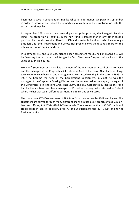been most active in continuation. SEB launched an information campaign in September in order to inform people about the importance of continuing their contributions into the second pension pillar.

In September SEB launced new second pension pillar product, the Energetic Pension Fund. The proportion of equities in the new fund is greater than in any other second pension pillar fund currently offered by SEB and is suitable for clients who have enough time left until their retirement and whose risk profile allows them to rely more on the rates of return on equity markets.

In Septmeber SEB and Eesti Gaas signed a loan agreement for 580 million kroons. SEB will be financing the purchase of winter gas by Eesti Gaas from Gazprom with a loan to the value of 37 million euros.

From 28<sup>th</sup> September Allan Parik is a member of the Management Board of AS SEB Pank and the manager of the Corporates & Institutions Area of the bank. Allan Parik has longterm experience in banking and management. He started working in the bank in 1995. In 1997, he became the head of the Corporations Department. In 2000, he was the manager of the Corporate Banking Division and he has worked as the deputy manager of the Corporates & Institutions Area since 2007. The SEB Corporates & Institutions Area had for the last two years been managed by Kristoffer Lindberg, who returned to Finland where he has worked in different positions in SEB Finland since 1994.

The more than 807 400 customers of SEB Pank Group are served by 1509 employees. The customers are served through many different channels such as 57 branch offices, 220 on‐ line post offices, 348 ATMs, 6289 POS‐terminals. There are more than 496 000 debit and credit cards in use. In addition, over 70 of our customers use our U‐Net and U‐Net Business services.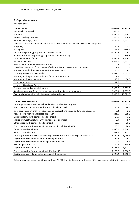# **3. Capital adequacy**

(millions of EEK)

| <b>CAPITAL BASE</b>                                                                       | 30.09.09   | 31.12.08 |
|-------------------------------------------------------------------------------------------|------------|----------|
| Paid-in share capital                                                                     | 665.6      | 665.6    |
| Premium                                                                                   | 1,346.6    | 1,346.6  |
| General banking reserves                                                                  | 306.0      | 304.9    |
| Retained earnings / loss                                                                  | 6,426.6    | 5,571.0  |
| Unrealised profit for previous periods on shares of subsidiaries and associated companies |            |          |
| (negative)                                                                                | $-4.3$     | $-3.7$   |
| Intangibles                                                                               | $-9.2$     | $-390.5$ |
| Loss for the period (group without life insurance)                                        | $-1,144.9$ | 0.0      |
| Audited profit for the period (group without life insurance)                              | 0.0        | 856.8    |
| Total primary own funds                                                                   | 7,586.5    | 8,350.7  |
| Subordinated debt                                                                         | 2,613.0    | 2,613.0  |
| Available for sale financial instruments                                                  | 0.5        | $-2.5$   |
| Unrealised part of profit on shares of subsidiaries and associated companies              | 1.9        | 1.7      |
| Allowances and adjustments exceeding expected loss                                        | 225.7      | 0.5      |
| Total supplementary own funds                                                             | 2,841.1    | 2,612.7  |
| Majority holding in other credit and financial institutions                               | 1.6        | 3.6      |
| Majority holding in insurers                                                              | 30.0       | 30.0     |
| Total deductions                                                                          | 31.6       | 33.6     |
| Total third level own funds                                                               |            |          |
| Primary own funds after deductions                                                        | 7,570.7    | 8,333.9  |
| Supplementary own funds included in calculation of capital adequacy                       | 2,825.3    | 2,595.9  |
| Own funds included in calculation of capital adequacy                                     | 10,396.0   | 10,929.8 |
|                                                                                           |            |          |
| <b>CAPITAL REQUIREMENTS</b>                                                               | 30.09.09   | 31.12.08 |
| Central government and central banks with standardised approach                           | 0.1        | 22.4     |
| Municipalities and regions with standardised approach                                     | 94.5       | 90.2     |
| State agencies, non-profit institutions and associations with standardised approach       | 2.2        | 2.0      |
| Retail claims with standardised approach                                                  | 241.6      | 289.2    |
| Overdue claims with standardised approach                                                 | 17.5       | 3.9      |
| Shares of investment funds with standardised approach                                     | 5.9        | 5.4      |
| Other assets with standardised approach                                                   | 56.5       | 91.3     |
| Credit institutions, investment firms and municipalities with IRB                         | 26.2       | 20.4     |
| Other companies with IRB                                                                  | 2,848.0    | 2,816.1  |
| Retail claims with IRB                                                                    | 887.9      | 715.5    |
| Total capital requirements for covering the credit risk and counterparty credit risk      | 4,180.4    | 4,056.4  |
| Capital requirement for covering interest position risk                                   | 27.7       | 19.2     |
| Capital requirement for covering equity position risk                                     | 0.5        | 0.6      |
| AMA of operational risk                                                                   | 114.7      | 145.8    |
| Capital requirements total                                                                | 4,323.3    | 4,222.0  |
| Transition period floor of own funds if using IRB                                         | 5,223.2    | 6,510.8  |
| Capital requirements for calculating capital adequacy                                     | 5,223.2    | 6,510.8  |

Calculations are made for Group without AS SEB Elu- ja Pensionikindlustus (life insurance), holding in insurer is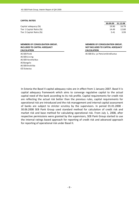### **CAPITAL RATIOS**

Capital adequacy (%) Tier 1 Capital Ratio (%) Tier 2 Capital Ratio (%)

| <b>MEMBERS OF CONSOLIDATION GROUP,</b> |
|----------------------------------------|
| <b>INCLUDED TO CAPITAL ADEQUACY</b>    |
| <b>CALCULATION</b>                     |

AS SEB Liising AS SEB Varahaldus AS Bangalo AS SEB Enskilda OÜ Estectus

| 30.09.09 | 31.12.08 |
|----------|----------|
| 19.90    | 16.79    |
| 14.49    | 12.80    |
| 5.41     | 3.99     |

### **MEMBERS OF CONSOLIDATION GROUP, NOT INCLUDED TO CAPITAL ADEQUACY CALCULATION**

AS SEB Pank AS SEB Elu- ja Pensionikindlustus

In Estonia the Basel II capital adequacy rules are in effect from 1 January 2007. Basel II is capital adequacy framework which aims to converge regulative capital to the actual capital need of the bank according to its risk profile. Capital requirements for credit risk are reflecting the actual risk better than the previous rules, capital requirements for operational risk are introduced and the risk management and internal capital assessment of banks are subject to stricter scrutiny by the supervisors. In period 01.01.2008 ‐ 30.06.2008 SEB Pank Group used standard method for calculation of credit risk and market risk and base method for calculating operational risk. From July 1, 2008, after respective permissions were granted by the supervisors, SEB Pank Group started to use the internal ratings based approach for reporting of credit risk and advanced approach for reporting of operational risk under Basel II.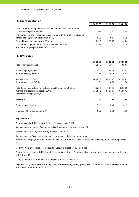### **4. Risk concentration**

|                                                                                                      | 30.09.09 | 31.12.08 | 30.09.08      |
|------------------------------------------------------------------------------------------------------|----------|----------|---------------|
| Total claims against persons associated with the credit institution's<br>consolidation group, EEKmio | 20.5     | 15.7     | 15.5          |
| The share of claims of the persons associated with the credit institution's                          |          |          |               |
| consolidation group in net own funds, %,                                                             | 0.20     | 0.14     | 0.15          |
| Total of large exposure claims, EEKmio                                                               | 1,211.1  | 2,378.9  | 2,448.4       |
| The share of large exposure claims in net own funds, %                                               | 11.65    | 21.77    | 24.29         |
| Number of large exposure customers, pcs                                                              | 1        |          | $\mathcal{L}$ |

### **3. Key Figures**

|                                                                    | 30.09.09   | 31.12.08 | 30.09.08 |
|--------------------------------------------------------------------|------------|----------|----------|
| Net profit / loss, EEKmio                                          | $-1,097.2$ | 766.4    | 690.7    |
|                                                                    |            |          |          |
| Average equity, EEKmio                                             | 8,287.1    | 8,457.8  | 8,424.7  |
| Return on equity (ROE), %                                          | $-17.65$   | 9.06     | 10.93    |
| Average assets, EEKmio                                             | 80,701.8   | 86,625.7 | 87,084.1 |
|                                                                    |            |          |          |
| Return on assets (ROA), %                                          | $-1.81$    | 0.88     | 1.06     |
| Net interest income (excl. off-balance sheet transactions), EEKmio | 1,023.9    | 1,873.3  | 1393.00  |
| Average interest earning assets, EEKmio                            | 77,753.9   | 81,912.7 | 81,889.2 |
| Net interest margin (NIM), %                                       | 1.76       | 2.29     | 2.27     |
| SPREAD, %                                                          | 1.44       | 1.86     | 1.84     |
| Cost / Income ratio, %                                             | 71.1       | 43.0     | 41.9     |
| Impaired NPL / gross portfolio, %                                  | 5.07       | 2.35     | 1.96     |

### **Explanations**

Return on equity (ROE) = Net profit (loss) / Average equity \* 100

Average equity = (equity of actual period end+ equity of previous year end) / 2

Return on assets (ROA) = Net profit / Average assets \* 100

Average assets = (assets of actual period end+ assets of previous year end) / 2

Net interest margin (NIM) = Net interest income (excl. off-balance sheet transactions) / Average interest earning assets \* 100

SPREAD = Yield on interest earning assets ‐ Cost of interest bearing liabilities

Cost of interest bearing liabilities = Interest expenses (excl. off‐balance sheet transactions) / Average interest bearing liabilities \*100

Cost / Income Ratio = Total Operating Expenses / Total Income \* 100

Impaired NPL / gross portfolio = Impaired, non-performing loans, gross / Loans and advances to customers without allowances for doubtful debt \* 100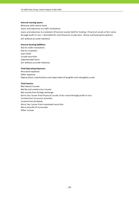### **Interest earning assets:**

Balances with central bank Loans and advances to credit institutions

Loans and advances to customers (Financial assets held for trading + Financial assets at fair value through profit or loss + Available‐for‐sale financial assets) excl. shares and fund participations

(all without accured interests)

### **Interest bearing liabilities:**

Due to credit institutions Due to customers Loan funds Issued securities Subordinated loans (all without accured interests)

### **Total Operating Expenses:**

Personnel expenses Other expenses Depreciation, amortization and impairment of tangible and intangible assets

### **Total Income:**

Net Interest Income Net fee and commission income Net income from foreign exchange Gains less losses from financial assets at fair value through profit or loss Income from insurance activities Income from dividends Gains less losses from investment securities Share of profit of associates Other income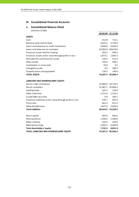### **III. Consolidated Financial Accounts**

### **1. Consolidated Balance Sheet** (millions of EEK)

| (MIIIIONS OT EEK)                                          |         |                   |
|------------------------------------------------------------|---------|-------------------|
|                                                            |         | 30.09.09 31.12.08 |
| <b>ASSETS</b>                                              |         |                   |
| Cash                                                       | 612.8   | 712.1             |
| Balances with central bank                                 | 3,822.5 | 5,739.4           |
| Loans and advances to credit institutions                  | 5,496.8 | 6,026.6           |
| Loans and advances to customers                            |         | 63,902.8 69,619.0 |
| Financial assets held for trading                          | 363.3   | 399.2             |
| Financial assets at fair value through profit or loss      | 1,073.1 | 1,043.3           |
| Available-for-sale financial assets                        | 144.2   | 412.4             |
| Other assets                                               | 745.9   | 598.1             |
| Investments in associates                                  | 10.0    | 9.2               |
| Intangible assets                                          | 9.3     | 390.5             |
| Property plant and equipment                               | 126.5   | 146.6             |
| <b>TOTAL ASSETS</b>                                        |         | 76,307.2 85,096.4 |
| LIABILITIES AND SHAREHOLDERS' EQUITY                       |         |                   |
| Due to credit institutions                                 |         | 31,009.9 35,776.4 |
| Due to customers                                           |         | 31,987.1 35,006.2 |
| Lending funds                                              | 187.5   | 129.9             |
| Other liabilities                                          |         | 1,721.4 1,516.2   |
| Issued debt securities                                     | $0.0\,$ | 106.1             |
| Financial liabilities at fair value through profit or loss | 370.7   | 497.6             |
| Provisions                                                 | 661.3   | 611.2             |
| Subordinated loans                                         | 2,627.0 | 2,620.9           |
| <b>Total Liabilities</b>                                   |         | 68,564.9 76,264.5 |
| Share capital                                              | 665.6   | 665.6             |
| Share premium                                              | 1,346.6 | 1,346.6           |
| Other reserves                                             | 326.6   | 318.9             |
| Retained earnings                                          | 5,403.5 | 6,500.8           |
| <b>Total shareholders' equity</b>                          | 7,742.3 | 8,831.9           |
| TOTAL LIABILITIES AND SHAREHOLDERS' EQUITY                 |         | 76,307.2 85,096.4 |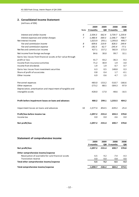# **2. Consolidated Income Statement**

(millions of EEK)

|                                                               |                | 2009          | 2009     | 2008            | 2008     |
|---------------------------------------------------------------|----------------|---------------|----------|-----------------|----------|
|                                                               |                | Note 9 months | QIII     | 9 months        | QIII     |
| Interest and similar income                                   | 6              | 2,504.3       | 662.4    | 3,739.7 1,259.4 |          |
| Interest expenses and similar charges                         | $\overline{7}$ | $-1,480.4$    | $-369.3$ | $-2,346.7$      | $-768.7$ |
| Net Interest Income                                           |                | 1,023.9       | 293.1    | 1,393.0         | 490.7    |
| Fee and commission income                                     | 8              | 609.6         | 219.9    | 828.3           | 249.4    |
| Fee and commission expense                                    | 9              | $-182.5$      | $-62.7$  | $-245.4$        | $-77.1$  |
| Net fee and commission income                                 |                | 427.1         | 157.2    | 582.9           | 172.3    |
| Net income from foreign exchange                              |                | 84.6          | 30.0     | 99.7            | 32.1     |
| Gains less losses from financial assets at fair value through |                |               |          |                 |          |
| profit or loss                                                |                | 41.7          | 43.2     | $-36.3$         | $-9.3$   |
| Income from insurance activities                              |                | 71.2          | 30.9     | 1.9             | $-3.0$   |
| Income from dividends                                         |                | 1.9           | 1.9      | 0.7             | 0.7      |
| Gains less losses from investment securities                  |                | 6.3           | 0.5      | 148.8           | 0.3      |
| Share of profit of associates                                 |                | 0.8           | 0.4      | 1.7             | $-0.1$   |
| Other income                                                  |                | 6.9           | 0.6      | 4.7             | 1.5      |
| Personnel expenses                                            |                | $-483.0$      | $-153.2$ | $-510.7$        | $-166.6$ |
| Other expenses                                                |                | $-273.2$      | $-88.5$  | $-304.3$        | $-97.9$  |
| Depreciation, amortization and impairment of tangible and     |                |               |          |                 |          |
| intangible assets                                             |                | $-428.0$      | $-17.0$  | $-48.6$         | $-16.5$  |
| Profit before impairment losses on loans and advances         |                | 480.2         | 299.1    | 1,333.5         | 404.2    |
|                                                               |                |               |          |                 |          |
| Impairment losses on loans and advances                       | 10             | $-1,577.4$    | $-854.5$ | $-639.2$        | $-25.4$  |
| Profit/loss before income tax                                 |                | $-1,097.2$    | $-555.4$ | 694.3           | 378.8    |
| Income tax                                                    |                | 0.0           | 0.0      | $-3.6$          | 0.0      |
| Net profit/loss                                               |                | $-1,097.2$    | $-555.4$ | 690.7           | 378.8    |

# **Statement of comprehensive income**

|                                                    | 2009       | 2009     | 2008     | 2008   |
|----------------------------------------------------|------------|----------|----------|--------|
|                                                    | 9 months   | QIII     | 9 months | QIII   |
| Net profit/loss                                    | $-1.097.2$ | $-555.4$ | 690.7    | 378.8  |
| Other comprehensive income/expense                 |            |          |          |        |
| Revaluation of available-for-sale financial assets | 6.5        | 9.2      | $-7.4$   | $-4.3$ |
| Translation reserve                                | 0.0        | 0.0      | 0.8      | 0.0    |
| Total other comprehensive income/expense           | 6.5        | 9.2      | $-6.5$   | $-4.3$ |
| Total comprehensive income/expense                 | $-1.090.7$ | $-546.2$ | 684.2    | 374.5  |
|                                                    |            |          |          |        |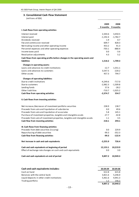### **3. Consolidated Cash Flow Statement**

(millions of EEK)

|                                                                              | 2009                  | 2008                  |
|------------------------------------------------------------------------------|-----------------------|-----------------------|
| I. Cash flows from operating activities                                      | 9 months              | 9 months              |
| Interest received                                                            |                       |                       |
| Interest paid                                                                | 2,344.6<br>$-1,192.4$ | 3,450.5<br>$-1,782.7$ |
| Dividends received                                                           | 1.9                   | 0.7                   |
| Fee and commission received                                                  | 609.7                 | 828.3                 |
| Net trading income and other operating income                                | 453.2                 | 91.3                  |
| Personnel expenses and other operating expenses                              | $-703.1$              | $-880.4$              |
| Income taxes paid                                                            | 0.0                   | $-3.6$                |
| Revaluation adjustments                                                      | 4.3                   | 5.2                   |
| Cash flows from operating profits before changes in the operating assets and |                       |                       |
| <b>liabilities</b>                                                           | 1,518.2               | 1,709.3               |
| Changes in operating assets:                                                 |                       |                       |
| Loans and advances to credit institutions                                    | -12.7                 | 1,551.1               |
| Loans and advances to customers                                              | 3,547.5               | $-220.2$              |
| Other assets                                                                 | 457.3                 | 794.7                 |
|                                                                              |                       |                       |
| <b>Changes of operating liabilities:</b>                                     |                       |                       |
| Due to credit institutions                                                   | -4,249.6              | $-717.0$              |
| Due to customers                                                             | $-2,982.3$            | $-1,509.8$            |
| Lending funds                                                                | 57.6                  | $-28.2$               |
| Other liabilities                                                            | $-710.7$              | $-1,025.2$            |
| Cash flow from operating activities                                          | $-2,374.7$            | 554.7                 |
| II. Cash flows from investing activities                                     |                       |                       |
| Net increase-/decrease+ of investment portfolio securities                   | 238.9                 | 138.7                 |
| Proceeds from sale and liquidation of subsidaries                            | 0.0                   | 49.6                  |
| Proceeds from sale and liquidation of associates                             | 5.8                   | 145.1                 |
| Purchase of investment properties, tangible and intangible assets            | $-27.7$               | $-42.8$               |
| Proceeds from sale of investment properties, tangible and intangible assets  | $1.1\,$               | 3.5                   |
| Cash flow from investing activities                                          | 218.1                 | 294.1                 |
| III. Cash flows from financing activities                                    |                       |                       |
| Proceeds from debt securities (issuing)                                      | 0.0                   | 229.9                 |
| Repurchasing of debt securities                                              | $-99.3$               | $-352.3$              |
| Cash flow from financing activities                                          | $-99.3$               | $-122.4$              |
| Net increase in cash and cash equivalents                                    | $-2,255.9$            | 726.4                 |
| Cash and cash equivalents at beginning of period                             | 12,153.1              | 10,219.9              |
| Effect of exchange rate changes on cash and cash equivalents                 | 0.0                   | 3.0                   |
| Cash and cash equivalents at end of period                                   | 9,897.2               | 10,949.3              |
|                                                                              |                       |                       |

| Cash and cash equivalents includes:          | 30.09.09 | 30.09.08 |
|----------------------------------------------|----------|----------|
| Cash on hand                                 | 612.8    | 615.8    |
| Balances with the central bank               | 3.821.6  | 5.246.0  |
| Liquid deposits in other credit institutions | 5.461.6  | 4.941.3  |
| Trading portfolio                            | 1.2      | 146.2    |
|                                              | 9.897.2  | 10.949.3 |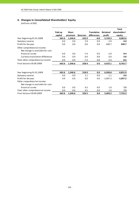# **4. Changes in Consolidated Shareholders' Equity**

(millions of EEK)

|                                                                 |         |              |                 |                    |            | <b>Total</b>  |
|-----------------------------------------------------------------|---------|--------------|-----------------|--------------------|------------|---------------|
|                                                                 | Paid up | <b>Share</b> |                 | <b>Translation</b> | Retained   | shareholders' |
|                                                                 | capital | premium      | <b>Reserves</b> | differences        | profit     | equity        |
| Year beginning 01.01.2008                                       | 665.6   | 1,346.6      | 332.9           | $-0.8$             | 5,739.3    | 8,083.6       |
| Statutory reserve                                               | 0.0     | 0.0          | 2.9             | 0.0                | $-2.9$     | 0.0           |
| Profit for the year                                             | 0.0     | 0.0          | 0.0             | 0.0                | 690.7      | 690.7         |
| Other comprehensive income:<br>Net change in available for sale |         |              |                 |                    |            |               |
| financial assets                                                | 0.0     | 0.0          | $-7.4$          | 0.0                | $-2.0$     | $-9.4$        |
| Currency translation differences                                | 0.0     | 0.0          | 0.0             | 0.8                | 0.0        | 0.8           |
| Total other comprehensive income                                | 0.0     | 0.0          | $-7.4$          | 0.8                | $-2.0$     | $-8.6$        |
| Final balance 30.09.2008                                        | 665.6   | 1,346.6      | 328.4           | 0.0                | 6,425.1    | 8,765.7       |
| Year beginning 01.01.2009                                       | 665.6   | 1,346.6      | 318.9           | 0.0                | 6,500.8    | 8,831.9       |
| Statutory reserve                                               | 0.0     | 0.0          | 1.1             | 0.0                | $-1.1$     | 0.0           |
| Profit for the year                                             | 0.0     | 0.0          | 0.0             | 0.0                | $-1,097.2$ | $-1,097.2$    |
| Other comprehensive income:<br>Net change in available for sale |         |              |                 |                    |            |               |
| financial assets                                                | 0.0     | 0.0          | 6.5             | 0.0                | 1.0        | 7.5           |
| Total other comprehensive income                                | 0.0     | 0.0          | 6.5             | 0.0                | 1.0        | 7.5           |
| Final balance 30.09.2009                                        | 665.6   | 1,346.6      | 326.5           | 0.0                | 5,403.5    | 7,742.2       |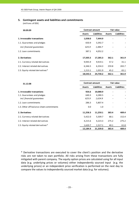### **5. Contingent assets and liabilities and commitments**

(millions of EEK)

| 30.09.09                          | <b>Contract amount</b> |                    | <b>Fair value</b> |                    |  |
|-----------------------------------|------------------------|--------------------|-------------------|--------------------|--|
|                                   | <b>Assets</b>          | <b>Liabilities</b> | <b>Assets</b>     | <b>Liabilities</b> |  |
| 1. Irrevocable transactions       | 1,038.0                | 7,444.9            |                   |                    |  |
| 1.1. Guarantees and pledges       | 650.9                  | 3,392.7            |                   |                    |  |
| incl. financial quarantees        | 625.9                  | 1,484.7            |                   |                    |  |
| 1.2. Loan commitments             | 387.1                  | 4,052.2            |                   |                    |  |
| 2. Derivatives                    | 17,505.5               | 17,285.3           | 362.1             | 361.9              |  |
| 2.1. Currency related derivatives | 9,945.9                | 9,919.1            | 57.2              | 31.1               |  |
| 2.2. Interest related derivatives | 6,346.5                | 6,334.3            | 259.8             | 265.7              |  |
| 2.3. Equity related derivatives*  | 1,213.1                | 1,031.9            | 45.2              | 65.1               |  |
|                                   | 18,543.5               | 24,730.2           | 362.1             | 361.9              |  |

| 31.12.08                                 |               | <b>Contract amount</b> | <b>Fair value</b> |                    |  |
|------------------------------------------|---------------|------------------------|-------------------|--------------------|--|
|                                          | <b>Assets</b> | <b>Liabilities</b>     | <b>Assets</b>     | <b>Liabilities</b> |  |
| 1. Irrevocable transactions              | 926.6         | 10,088.9               |                   |                    |  |
| 1.1. Guarantees and pledges              | 640.3         | 4,280.5                |                   |                    |  |
| incl. financial guarantees               | 625.9         | 1,624.9                |                   |                    |  |
| 1.2. Loan commitments                    | 286.3         | 5,807.4                |                   |                    |  |
| 1.3. Other off-balance sheet commitments | 0.0           | 1.0                    |                   |                    |  |
| 2. Derivatives                           | 11,258.3      | 11,250.1               | 383.4             | 489.4              |  |
| 2.1. Currency related derivatives        | 5,422.0       | 5,509.7                | 68.1              | 152.4              |  |
| 2.2. Interest related derivatives        | 4,215.6       | 4,223.3                | 275.2             | 275.2              |  |
| 2.3. Equity related derivatives*         | 1,620.7       | 1,517.1                | 40.1              | 61.8               |  |
|                                          | 12,184.9      | 21,339.0               | 383.4             | 489.4              |  |

\* Derivative transactions are executed to cover the client's position and the derivative risks are not taken to own portfolio. All risks arising from these transactions are fully mitigated with parent company. The equity option prices are calculated using for all input data (e.g. underlying prices or volumes) either independently sourced input (e.g. the underlying prices) or an independent price verification is performed on the next day to compare the values to independently sourced market data (e.g. for volumes).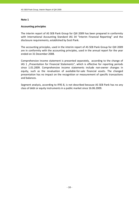### **Accounting principles**

The interim report of AS SEB Pank Group for QIII 2009 has been prepared in conformity with International Accounting Standard IAS 34 "Interim Financial Reporting" and the disclosure requirements, established by Eesti Pank.

The accounting principles, used in the interim report of AS SEB Pank Group for QIII 2009 are in conformity with the accounting principles, used in the annual report for the year ended on 31 December 2008.

Comprehensive income statement is presented separately, according to the change of IAS 1 "Presentation for Financial Statements", which is effective for reporting periods since 1.01.2009. Comprehensive income statements include non‐owner changes in equity, such as the revaluation of available-for-sale financial assets. The changed presentation has no impact on the recognition or measurement of specific transactions and balances.

Segment analysis, according to IFRS 8, is not described because AS SEB Pank has no any class of debt or equity instruments in a public market since 16.06.2009.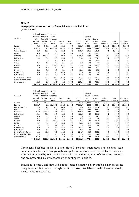# **Note 2 Geographic concentration of financial assets and liabilities**

(millions of EEK)

|                      |          | Cash and Loans and | Loans     |         |        |          |           |          |             |             |             |
|----------------------|----------|--------------------|-----------|---------|--------|----------|-----------|----------|-------------|-------------|-------------|
|                      | balances | advances           | and       |         |        |          | Due to to |          |             |             |             |
| 30.09.09             | with     | to credit          | advances  |         |        |          | credit    | Due to   |             |             |             |
|                      | central  | institu-           | to custo- | Securi- | Other  | Total    | institu-  | custo-   | Other       | Total       | Contingent  |
|                      | bank     | tions              | mers      | ties    | assets | assets   | tions     | mers     | liabilities | liabilities | liabilities |
| Sweden               | 7.5      | 749.8              | 28.7      | 115.3   | 7.4    | 908.7    | 29,809.4  | 128.4    | 2,881.5     | 32,819.3    | 7,147.3     |
| Estonia              | 4,241.5  | 18.7               | 63,429.6  | 668.8   | 738.7  | 69,097.3 | 352.9     | 28,154.0 | 2,597.5     | 31,104.4    | 17,057.4    |
| United Kingdom       | 2.0      | 13.3               | 40.0      | 115.2   | 0.2    | 170.7    | 196.7     | 1,636.8  | 0.1         | 1,833.6     | 5.7         |
| Russia               | 4.3      | 35.4               | 13.8      | 17.4    | 0.1    | 71.0     | 9.9       | 239.9    | 0.3         | 250.1       | 1.5         |
| Germany              | 81.4     | 4,530.8            | 5.9       | 90.9    | 0.0    | 4,709.0  | 568.9     | 33.2     | 0.2         | 602.3       | 114.8       |
| <b>United States</b> | 11.9     | 19.4               | 21.0      | 39.0    | 0.0    | 91.3     | 1.8       | 279.1    | 0.1         | 281.0       | 0.2         |
| Canada               | 1.1      | 0.6                | 0.0       | 0.0     | 0.0    | 1.7      | 2.3       | 11.8     | 0.0         | 14.1        | 0.0         |
| Japan                | 0.6      | 1.2                | 0.0       | 2.1     | 0.0    | 3.9      | 0.0       | 1.3      | 0.0         | 1.3         | 0.0         |
| Finland              | 0.0      | 0.1                | 290.0     | 83.2    | 0.0    | 373.3    | 6.4       | 110.3    | 0.2         | 116.9       | 173.9       |
| Latvia               | 2.9      | 14.0               | 0.2       | 0.1     | 0.1    | 17.3     | 24.8      | 25.7     | 0.8         | 51.3        | 158.3       |
| Lithuania            | 2.8      | 3.6                | 0.5       | 3.1     | 0.0    | 10.0     | 10.6      | 12.8     | 0.1         | 23.5        | 0.1         |
| Luxembourg           | 0.0      | 5.1                | 0.0       | 209.9   | 7.0    | 222.0    | 3.8       | 0.0      | 1.2         | 5.0         | 0.0         |
| Netherlands          | 0.0      | 0.9                | 9.8       | 73.2    | 0.0    | 83.9     | 0.0       | 3.5      | 0.0         | 3.5         | 0.0         |
| Other Western Europe | 7.1      | 91.1               | 43.6      | 163.0   | 0.3    | 305.1    | 21.9      | 587.3    | 0.2         | 609.4       | 69.1        |
| Other Eastern Europe | 3.6      | 6.3                | 0.7       | 3.4     | 0.1    | 14.1     | 0.2       | 30.9     | 0.2         | 31.3        | 0.0         |
| Other countries      | 68.6     | 6.5                | 19.0      | 6.0     | 127.8  | 227.9    | 0.3       | 732.1    | 85.5        | 817.9       | 1.9         |
|                      | 4,435.3  | 5,496.8            | 63,902.8  | 1,590.6 | 881.7  | 76,307.2 | 31,009.9  | 31,987.1 | 5,567.9     | 68,564.9    | 24,730.2    |

|                      |         | Cash and Loans and<br>balances advances | Loans<br>and |         |         |          | Due to to |                   |             |             |             |
|----------------------|---------|-----------------------------------------|--------------|---------|---------|----------|-----------|-------------------|-------------|-------------|-------------|
| 31.12.08             | with    | to credit                               | advances     |         |         |          | credit    | Due to            |             |             |             |
|                      | central | institu-                                | to custo-    | Securi- | Other   | Total    | institu-  | custo-            | Other       | Total       | Contingent  |
|                      | bank    | tions                                   | mers         | ties    | assets  | assets   | tions     | mers              | liabilities | liabilities | liabilities |
| Sweden               | 6.1     | 469.3                                   | 34.9         | 192.6   | 0.0     | 702.9    | 34,740.9  | 176.0             | 2,712.2     | 37,629.1    | 2,676.5     |
| Estonia              | 6,280.7 | 1.2                                     | 69,055.6     | 934.6   | 1,058.6 | 77,330.7 | 285.5     | 30,965.4          | 2,552.6     | 33,803.5    | 18,194.6    |
| United Kingdom       | 1.9     | 4.7                                     | 41.9         | 44.3    | 0.0     | 92.8     | 32.2      | 1,587.4           | 0.6         | 1,620.2     | 61.8        |
| Russia               | 2.5     | 122.8                                   | 17.5         | 50.7    | 0.0     | 193.5    | 29.3      | 268.1             | 0.2         | 297.6       | 1.8         |
| Germany              | 64.8    | 5,344.0                                 | 48.4         | 53.5    | 0.0     | 5,510.7  | 542.1     | 24.1              | 0.2         | 566.4       | 89.6        |
| <b>United States</b> | 15.1    | 50.3                                    | 24.5         | 18.4    | 0.3     | 108.6    | 5.5       | 431.0             | 0.1         | 436.6       | 1.5         |
| Canada               | 0.6     | 0.3                                     | 0.0          | 0.0     | 0.1     | 1.0      | 0.7       | 34.7              | 0.0         | 35.4        | 0.0         |
| Japan                | 0.7     | 1.7                                     | 0.0          | 2.1     | 0.1     | 4.6      | 0.0       | 1.9               | 0.0         | 1.9         | 0.0         |
| Finland              | 0.0     | 0.5                                     | 294.5        | 131.4   | 0.0     | 426.4    | 4.0       | 116.6             | 0.3         | 120.9       | 281.3       |
| Latvia               | 4.1     | 11.5                                    | 0.3          | 20.6    | 0.0     | 36.5     | 31.3      | 36.2              | 0.0         | 67.5        | 10.2        |
| Lithuania            | 2.4     | 0.8                                     | 0.7          | 18.2    | 0.2     | 22.3     | 16.0      | 9.8               | 0.8         | 26.6        | 2.8         |
| Luxembourg           | 0.0     | 2.0                                     | 9.7          | 145.6   | 6.2     | 163.5    | 2.4       | 0.2               | 3.2         | 5.8         | 0.0         |
| Netherlands          | 0.0     | 0.3                                     | 10.0         | 39.0    | 0.0     | 49.3     | 0.0       | 5.0               | 0.0         | 5.0         | 0.1         |
| Other Western Europe | 6.8     | 10.6                                    | 45.7         | 161.5   | 0.1     | 224.7    | 23.5      | 645.2             | 0.3         | 669.0       | 16.4        |
| Other Eastern Europe | 2.9     | 5.3                                     | 0.6          | 28.9    | 0.2     | 37.9     | 60.2      | 24.8              | 1.8         | 86.8        | 0.0         |
| Other countries      | 62.9    | 1.3                                     | 34.7         | 22.7    | 69.4    | 191.0    | 2.8       | 679.8             | 209.6       | 892.2       | 2.4         |
|                      | 6,451.5 | 6,026.6                                 | 69,619.0     | 1,864.1 | 1,135.2 | 85,096.4 |           | 35,776.4 35,006.2 | 5,481.9     | 76,264.5    | 21,339.0    |

Contingent liabilities in Note 2 and Note 3 includes guarantees and pledges, loan commitments, forwards, swaps, options, spots, interest rate based derivatives, revocable transactions, stand by loans, other revocable transactions, options of structured products and are presented in contract amount of contingent liabilities.

Securities in Note 2 and Note 3 includes Financial assets held for trading, Financial assets designated at fair value through profit or loss, Available‐for‐sale financial assets, Investments in associates.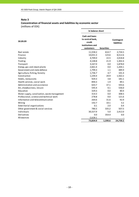|                                              |                                                                                      | In balance sheet  |                                  |  |  |
|----------------------------------------------|--------------------------------------------------------------------------------------|-------------------|----------------------------------|--|--|
| 30.09.09                                     | <b>Cash and loans</b><br>to central bank,<br>credit<br>institutions and<br>customers | <b>Securities</b> | Contingent<br><b>liabilities</b> |  |  |
| Real estate                                  | 11,558.2                                                                             | 614.7             | 2,734.5                          |  |  |
| Finance                                      | 10,031.3                                                                             | 123.6             | 8,512.6                          |  |  |
| Industry                                     | 4,709.0                                                                              | 22.5              | 2,018.8                          |  |  |
| Trading                                      | 4,148.8                                                                              | 21.9              | 1,302.4                          |  |  |
| Transport                                    | 3,167.0                                                                              | 0.0               | 1,878.0                          |  |  |
| Energy, gas and steam plants                 | 2,661.4                                                                              | 0.0               | 1,204.1                          |  |  |
| Government and state defence                 | 1,799.3                                                                              | 1.1               | 489.9                            |  |  |
| Agriculture, fishing, forestry               | 1,736.7                                                                              | 4.7               | 101.4                            |  |  |
| Construction                                 | 1,194.4                                                                              | 20.9              | 1,562.2                          |  |  |
| Hotels, restaurants                          | 929.3                                                                                | 3.8               | 181.1                            |  |  |
| Health services, social work                 | 894.3                                                                                | 1.9               | 89.1                             |  |  |
| Administration and assistance                | 643.7                                                                                | 37.1              | 593.6                            |  |  |
| Art, showbusiness, leisure                   | 545.4                                                                                | 0.1               | 536.0                            |  |  |
| Education                                    | 329.3                                                                                | 0.0               | 80.4                             |  |  |
| Water supply, canalization, waste management | 314.3                                                                                | 0.0               | 308.5                            |  |  |
| Professional, science and technical work     | 278.8                                                                                | 0.0               | 121.6                            |  |  |
| Information and telecommunication            | 264.6                                                                                | 31.6              | 92.9                             |  |  |
| Mining                                       | 142.7                                                                                | 10.1              | 3.2                              |  |  |
| Exterritorial organisations                  | 0.1                                                                                  | 2.0               | 0.4                              |  |  |
| Other government & social services           | 786.5                                                                                | 335.2             | 507.5                            |  |  |
| Individuals                                  | 30,327.9                                                                             | 5.0               | 2,412.0                          |  |  |
| Derivatives                                  | 0.0                                                                                  | 354.4             | 0.0                              |  |  |
| Allowances                                   | $-2,628.1$                                                                           |                   |                                  |  |  |
|                                              | 73,834.9                                                                             | 1,590.6           | 24,730.2                         |  |  |

# **Concentration of financial assets and liabilities by economic sector** (millions of EEK)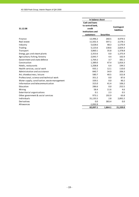|                                              | In balance sheet                                                                     |                   |                                  |
|----------------------------------------------|--------------------------------------------------------------------------------------|-------------------|----------------------------------|
| 31.12.08                                     | <b>Cash and loans</b><br>to central bank,<br>credit<br>institutions and<br>customers | <b>Securities</b> | Contingent<br><b>liabilities</b> |
|                                              |                                                                                      |                   |                                  |
| Finance                                      | 12,496.2                                                                             | 260.5             | 4,979.5                          |
| Real estate                                  | 11,502.3                                                                             | 597.1             | 2,578.1                          |
| Industry                                     | 5,628.6                                                                              | 48.3              | 1,570.9                          |
| Trading                                      | 5,123.6                                                                              | 138.6             | 2,824.3                          |
| Transport                                    | 3,860.1                                                                              | 35.8              | 1,378.8                          |
| Energy, gas and steam plants                 | 2,353.6                                                                              | 0.0               | 1,375.9                          |
| Agriculture, fishing, forestry               | 2,043.7                                                                              | 4.4               | 102.9                            |
| Government and state defence                 | 1,769.2                                                                              | 3.7               | 381.1                            |
| Construction                                 | 1,389.0                                                                              | 47.4              | 1,816.3                          |
| Hotels, restaurants                          | 1,208.8                                                                              | 6.4               | 194.5                            |
| Health services, social work                 | 935.1                                                                                | 12.1              | 110.0                            |
| Administration and assistance                | 840.7                                                                                | 34.9              | 206.3                            |
| Art, showbusiness, leisure                   | 580.7                                                                                | 40.5              | 322.8                            |
| Professional, science and technical work     | 351.2                                                                                | 0.0               | 87.6                             |
| Water supply, canalization, waste management | 339.5                                                                                | 0.0               | 90.2                             |
| Information and telecommunication            | 315.0                                                                                | 41.4              | 106.2                            |
| Education                                    | 286.6                                                                                | 0.0               | 252.5                            |
| Mining                                       | 58.4                                                                                 | 11.6              | 4.6                              |
| Exterritorial organisations                  | 0.1                                                                                  | 2.3               | 0.5                              |
| Other government & social services           | 973.1                                                                                | 192.9             | 63.8                             |
| Individuals                                  | 31,135.5                                                                             | 2.8               | 2,892.2                          |
| Derivatives                                  | 0.0                                                                                  | 383.4             | 0.0                              |
| Allowances                                   | $-1,093.9$                                                                           |                   |                                  |
|                                              | 82,097.1                                                                             | 1,864.1           | 21,339.0                         |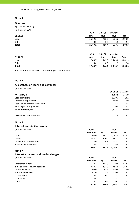# **Overdue**

By overdue maturity (millions of EEK)

|          | $30$    | 30 < 60 | over 60 |         |
|----------|---------|---------|---------|---------|
| 30.09.09 | days    | days    | days    | Total   |
| Loans    | 2,269.2 | 485.5   | 4,236.2 | 6,990.9 |
| Other    | 0.0     | 0.9     | 1.5     | 2.4     |
| Total    | 2,269.2 | 486.4   | 4,237.7 | 6,993.3 |
|          |         |         |         |         |
|          |         |         |         |         |

|              | $30$    | 30 < 60 | over 60       |              |
|--------------|---------|---------|---------------|--------------|
| 31.12.08     | davs    | davs    | davs          | <b>Total</b> |
| Loans        | 2,908.7 |         | 743.8 2,209.0 | 5,861.5      |
| Other        | 0.0     | 0.9     | 1.9           | 2.8          |
| <b>Total</b> | 2,908.7 | 744.7   | 2,210.9       | 5,864.3      |

The tables indicates the balance (brutto) of overdue claims.

### **Note 5**

### **Allowances on loans and advances**

(millions of EEK)

|                                | 30.09.09 | 31.12.08 |
|--------------------------------|----------|----------|
| At January, 1                  | 1093.9   | 345.9    |
| Loan provisions                | 2030.7   | 962      |
| Reversals of provisions        | -489.4   | $-200$   |
| Loans and advances written off | $-6.3$   | $-16.8$  |
| Exchange rate adjustments      | $-0.8$   | 2.8      |
| At September, 30               | 2,628.1  | 1,093.9  |
| Recoveries from write-offs     | 1.8      | 8.2      |

### **Note 6**

### **Interest and similar income**

(millions of EEK) **2009 2008**

|                           | 9 months | QIII  | 9 kuud  | QIII    |
|---------------------------|----------|-------|---------|---------|
| Loans                     | 2.104.0  | 553.7 | 3.004.8 | 1,029.5 |
| Leasing                   | 358.8    | 100.2 | 591.2   | 178.8   |
| Deposits with other banks | 26.0     | 6.4   | 137.2   | 48.8    |
| Fixed income securities   | 15.5     | 2.1   | 6.5     | 2.3     |
|                           | 2.504.3  | 662.4 | 3,739.7 | 1.259.4 |

### **Note 7**

### **Interest expenses and similar charges**

(millions of EEK) **2009 2008**

|                                | 9 months   | QIII     | 9 kuud     | QIII     |
|--------------------------------|------------|----------|------------|----------|
| Credit institutions            | $-748.7$   | -164.9   | $-1,279.5$ | $-424.7$ |
| Time and other saving deposits | $-450.3$   | $-134.0$ | -494.0     | $-167.7$ |
| Demand deposits                | $-209.0$   | $-54.3$  | $-430.9$   | $-129.0$ |
| Subordinated debts             | $-65.0$    | $-14.3$  | $-110.8$   | $-38.2$  |
| Issued bonds                   | $-2.5$     | 0.0      | $-27.1$    | $-7.7$   |
| Loan funds                     | $-4.6$     | $-1.7$   | $-4.2$     | $-1.3$   |
| Other                          | $-0.3$     | $-0.1$   | $-0.2$     | $-0.1$   |
|                                | $-1.480.4$ | $-369.3$ | $-2.346.7$ | $-768.7$ |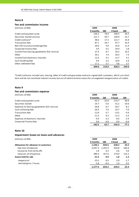### **Fee and commission income**

| (millions of EEK)                             | 2009     |       | 2008   |       |
|-----------------------------------------------|----------|-------|--------|-------|
|                                               | 9 months | QIII  | 9 kuud | QIII  |
| Credit and payment cards                      | 230.2    | 78.4  | 290.5  | 94.5  |
| Securities market services                    | 121.7    | 50.7  | 160.9  | 52.7  |
| Credit contracts*                             | 48.6     | 17.3  | 121.7  | 25.8  |
| <b>Transaction fees</b>                       | 87.1     | 29.7  | 97.7   | 33.4  |
| Non-life insurance brokerage fees             | 30.0     | 9.9   | 35.6   | 11.4  |
| Corporate Finance fees                        | 4.9      | 4.5   | 34.9   | 2.8   |
| Income from leasing agreements (full service) | 27.4     | 8.7   | 34.2   | 10.3  |
| Other                                         | 20.1     | 7.4   | 20.3   | 7.3   |
| Income from electronic channels               | 12.6     | 4.1   | 12.7   | 4.1   |
| Cash handling fees                            | 9.9      | 3.5   | 10.0   | 3.4   |
| Other settlement fees                         | 17.1     | 5.7   | 9.8    | 3.7   |
|                                               | 609.6    | 219.9 | 828.3  | 249.4 |

\*Credit contracts include loan, leasing, letter of credit and guarantee contracts signed with customers, which are short‐ term and do not constitute interest income, but are of administrative nature for arrangement reorganisation of credits.

### **Note 9**

### **Fee and commission expense** (millions of EEK) **2009 2008 9 months QIII 9 kuud QIII** Credit and payment cards **•**92.3 • −32.8 **•**133.7 **•**40.9 Securities market **1990 •14.7** • 5.0 **•** 31.2 **•10.6 •14.7** • 5.0 **•** 31.2 **•**10.6 Expenses to leasing agreements (full service) **•20.8** •20.8 • 6.7 **•26.7** •2.1 Cash collecting fees **•20.5** • 7.0 **•19.7** • 7.0 **•19.7** • 7.0 Transaction fees **12.8 •** 12.8 **•** -12.8 **•** -13.5 **•** -1.4.4 Other ‐11.5 ‐4.3 ‐11.3 ‐3.3 Expenses of electronic channels **Expenses** of electronic channels **19.9 •**3.2 **•**3.2 **•**3.4 **•**2.4 Corporate Finance fees **0.0 1.0 1.0 1.0 1.0 1.0 1.0 1.0 1.0 1.0 1.0 1.0 1.0 1.0 1.0 1.0 1.0 1.0 1.0 1.0 1.0 1.0 1.0 1.0 1.0 1.0 1.0 1.0 1.0 1.0 1.0 1.0 1.0 ‐182.5 ‐62.7 ‐245.4 ‐77.1**

### **Note 10**

### **Impairment losses on loans and advances**

| (millions of EEK)                    | 2009       |            | 2008     |          |
|--------------------------------------|------------|------------|----------|----------|
|                                      | 9 months   | QIII       | 9 kuud   | QIII     |
| Allowances for advances to customers | $-1.546.1$ | $-844.6$   | $-638.2$ | $-24.2$  |
| new loan allowances                  | $-2,037.3$ | $-1,201.9$ | $-918.8$ | $-160.4$ |
| recoveries from write-offs           | 1.8        | 0.3        | 6.6      | 4.0      |
| reversals of allowances              | 489.4      | 357.0      | 274.0    | 132.2    |
| Assets held for sale                 | $-31.3$    | $-9.9$     | $-1.0$   | $-1.2$   |
| reappraisal                          | $-25.5$    | $-9.5$     | $-2.9$   | $-1.7$   |
| realized gains / losses              | $-5.8$     | $-0.4$     | 1.9      | 0.5      |
|                                      | $-1.577.4$ | $-854.5$   | $-639.2$ | $-25.4$  |